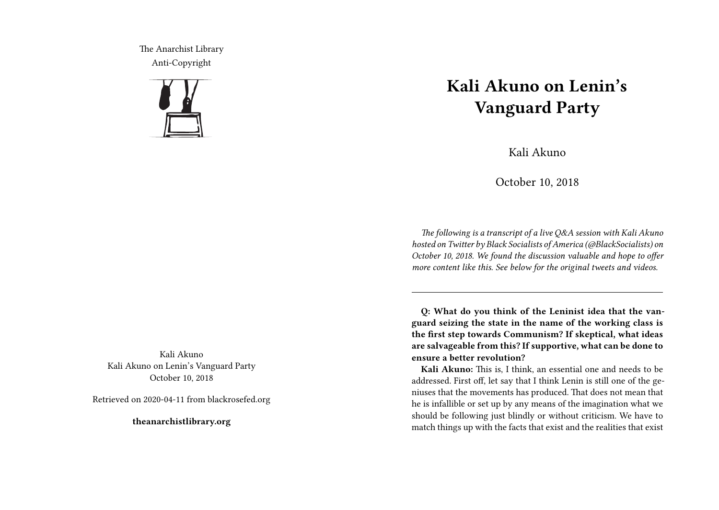The Anarchist Library Anti-Copyright



Kali Akuno Kali Akuno on Lenin's Vanguard Party October 10, 2018

Retrieved on 2020-04-11 from blackrosefed.org

**theanarchistlibrary.org**

## **Kali Akuno on Lenin's Vanguard Party**

Kali Akuno

October 10, 2018

*The following is a transcript of a live Q&A session with Kali Akuno hosted on Twitter by Black Socialists of America (@BlackSocialists) on October 10, 2018. We found the discussion valuable and hope to offer more content like this. See below for the original tweets and videos.*

**Q: What do you think of the Leninist idea that the vanguard seizing the state in the name of the working class is the first step towards Communism? If skeptical, what ideas are salvageable from this? If supportive, what can be done to ensure a better revolution?**

**Kali Akuno:** This is, I think, an essential one and needs to be addressed. First off, let say that I think Lenin is still one of the geniuses that the movements has produced. That does not mean that he is infallible or set up by any means of the imagination what we should be following just blindly or without criticism. We have to match things up with the facts that exist and the realities that exist